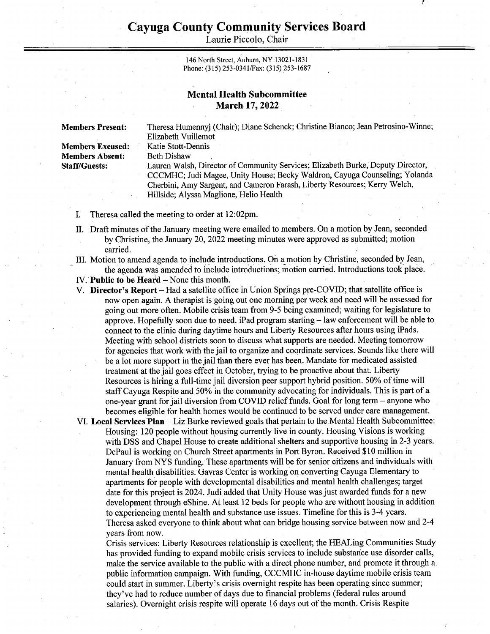Laurie Piccolo, Chair

146 North Street, Auburn, NY 13021-1831 Phone: (315) 253-0341/Fax: (315) 253-1687

## Mental Health Subcommittee March 17, 2022

Members Absent: Beth Dishaw

Members Present: Theresa Humennyj (Chair); Diane Schenck; Christine Bianco; Jean Petrosino-Winne; Elizabeth Vuillemot Members Excused: Katie Stott-Dennis Staff/Guests: Lauren Walsh, Director of Community Services; Elizabeth Burke, Deputy Director, CCCMHC; Judi Magee, Unity House; Becky Waldron, Cayuga Counseling; Yolanda Cherbini, Amy Sargent, and Cameron Farash, Liberty Resources; Kerry Welch,

- I. Theresa called the meeting to order at 12:02pm.
- II. Draft minutes of the January meeting were emailed to members. On a motion by Jean, seconded by Christine, the January 20, 2022 meeting minutes were approved as submitted; motion carried.

Hillside; Alyssa Maglione, Helio Health

- \_ II. Motion to amend agenda to include introductions. On a motion by Christine, seconded by Jean, the agenda was amended to include introductions; motion carried. Introductions took place.
- IV. Public to be Heard None this month.
- V. Director's Report Had a satellite office in Union Springs pre-COVID; that satellite office is now open again. A therapist is going out one morning per week and need will be assessed for going out more often. Mobile crisis team from 9-5 being examined; waiting for legislature to approve. Hopefully soon due to need. iPad program starting — law enforcement will be able to connect to the clinic during daytime hours and Liberty Resources after hours using iPads. Meeting with school districts soon to discuss what supports are needed. Meeting tomorrow for agencies that work with the jail to organize and coordinate services. Sounds like there will be a lot more support in the jail than there ever has been. Mandate for medicated assisted treatment at the jail goes effect in October, trying to be proactive about that. Liberty Resources is hiring a full-time jail diversion peer support hybrid position. 50% of time will staff Cayuga Respite and 50% in the community advocating for individuals. This is part of a one-year grant for jail diversion from COVID relief funds. Goal for long term — anyone who | becomes eligible for health homes would be continued to be served under care management.
- VI. Local Services Plan Liz Burke reviewed goals that pertain to the. Mental Health Subcommittee: Housing: 120 people without housing currently live in county. Housing Visions is working with DSS and Chapel House to create additional shelters and supportive housing in 2-3 years. DePaul is working on Church Street apartments in Port Byron. Received \$10 million in January from NYS funding. These apartments will be for senior citizens and individuals with mental health disabilities. Gavras Center is working on converting Cayuga Elementary to apartments for people with developmental disabilities and mental health challenges; target date for this project is 2024. Judi added that Unity House was just awarded funds for a new development through eShine. At least 12 beds for people who are without housing in addition to experiencing mental health and substance use issues. Timeline for this is 3-4 years. Theresa asked everyone to think about what can bridge housing service between now and 2-4 years from now.

Crisis services: Liberty Resources relationship is excellent; the HEALing Communities Study has provided funding to expand mobile crisis services to include substance use disorder calls, make the service available to the public with a direct phone number, and promote it through a public information campaign. With funding, CCCMHC in-house daytime mobile crisis team could start in summer. Liberty's crisis overnight respite has been operating since summer; they've had to reduce number of days due to financial problems (federal rules around salaries). Overnight crisis respite will operate 16 days out of the month. Crisis Respite